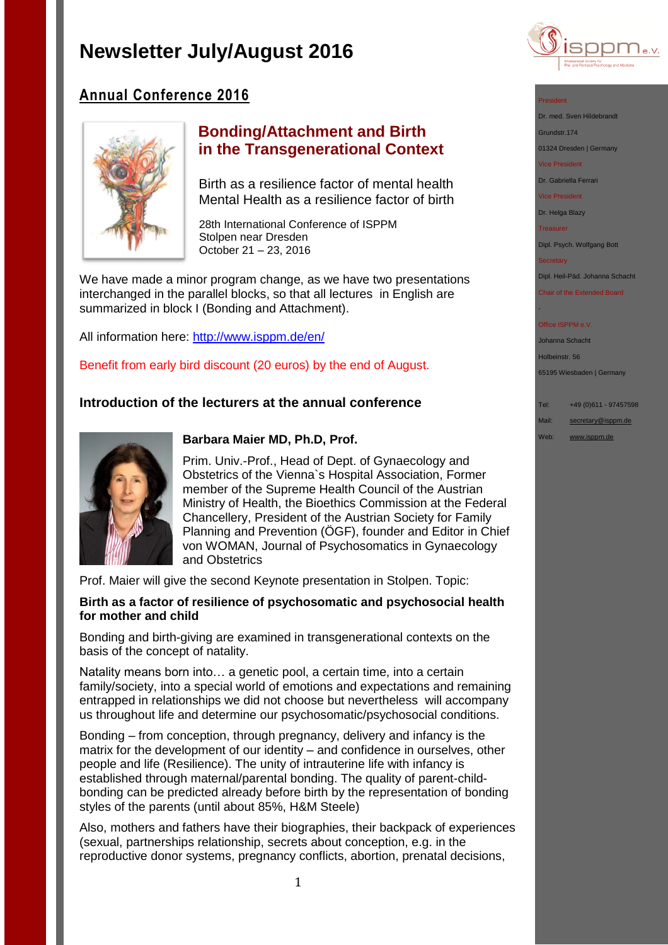

# **Annual Conference 2016**



## **Bonding/Attachment and Birth in the Transgenerational Context**

Birth as a resilience factor of mental health Mental Health as a resilience factor of birth

28th International Conference of ISPPM Stolpen near Dresden October 21 – 23, 2016

We have made a minor program change, as we have two presentations interchanged in the parallel blocks, so that all lectures in English are summarized in block I (Bonding and Attachment).

All information here:<http://www.isppm.de/en/>

Benefit from early bird discount (20 euros) by the end of August.

## **Introduction of the lecturers at the annual conference**



### **Barbara Maier MD, Ph.D, Prof.**

Prim. Univ.-Prof., Head of Dept. of Gynaecology and Obstetrics of the Vienna`s Hospital Association, Former member of the Supreme Health Council of the Austrian Ministry of Health, the Bioethics Commission at the Federal Chancellery, President of the Austrian Society for Family Planning and Prevention (ÖGF), founder and Editor in Chief von WOMAN, Journal of Psychosomatics in Gynaecology and Obstetrics

Prof. Maier will give the second Keynote presentation in Stolpen. Topic:

### **Birth as a factor of resilience of psychosomatic and psychosocial health for mother and child**

Bonding and birth-giving are examined in transgenerational contexts on the basis of the concept of natality.

Natality means born into… a genetic pool, a certain time, into a certain family/society, into a special world of emotions and expectations and remaining entrapped in relationships we did not choose but nevertheless will accompany us throughout life and determine our psychosomatic/psychosocial conditions.

Bonding – from conception, through pregnancy, delivery and infancy is the matrix for the development of our identity – and confidence in ourselves, other people and life (Resilience). The unity of intrauterine life with infancy is established through maternal/parental bonding. The quality of parent-childbonding can be predicted already before birth by the representation of bonding styles of the parents (until about 85%, H&M Steele)

Also, mothers and fathers have their biographies, their backpack of experiences (sexual, partnerships relationship, secrets about conception, e.g. in the reproductive donor systems, pregnancy conflicts, abortion, prenatal decisions,



Dr. med. Sven Hildebrandt

Grundstr.174

01324 Dresden | Germany

Vice President

Dr. Gabriella Ferrari

Vice President

Dr. Helga Blazy

**Treasurer** 

Dipl. Psych. Wolfgang Bott

**Secretary** 

-

Dipl. Heil-Päd. Johanna Schacht

Chair of the Extended Board

#### Office ISPPM e.V

Johanna Schacht

Holbeinstr. 56

65195 Wiesbaden | Germany

Tel: +49 (0)611 - 97457598

Mail: [secretary@isppm.de](mailto:secretary@isppm.de)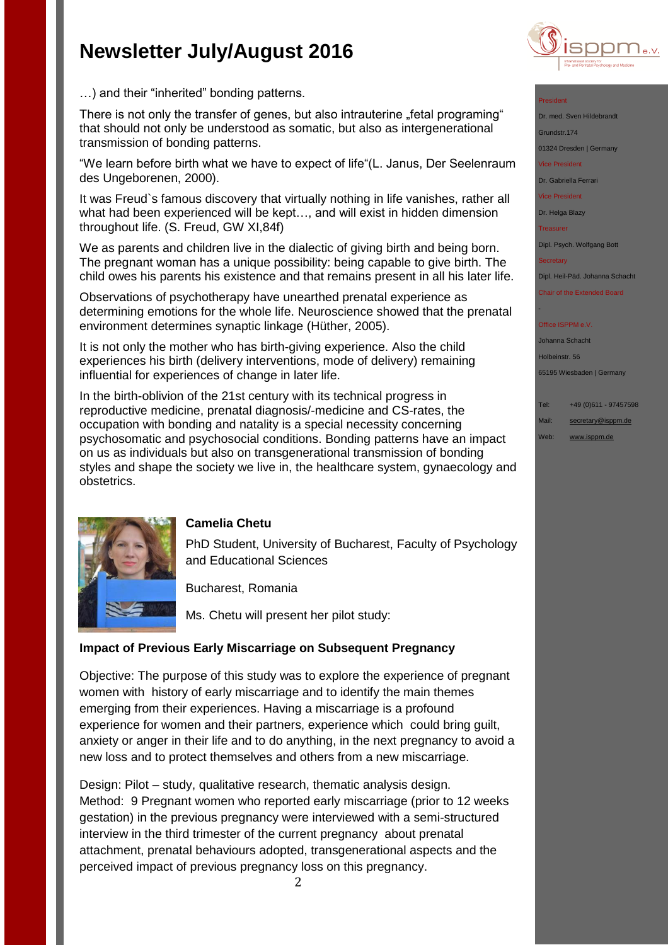

…) and their "inherited" bonding patterns.

There is not only the transfer of genes, but also intrauterine "fetal programing" that should not only be understood as somatic, but also as intergenerational transmission of bonding patterns.

"We learn before birth what we have to expect of life"(L. Janus, Der Seelenraum des Ungeborenen, 2000).

It was Freud`s famous discovery that virtually nothing in life vanishes, rather all what had been experienced will be kept…, and will exist in hidden dimension throughout life. (S. Freud, GW XI,84f)

We as parents and children live in the dialectic of giving birth and being born. The pregnant woman has a unique possibility: being capable to give birth. The child owes his parents his existence and that remains present in all his later life.

Observations of psychotherapy have unearthed prenatal experience as determining emotions for the whole life. Neuroscience showed that the prenatal environment determines synaptic linkage (Hüther, 2005).

It is not only the mother who has birth-giving experience. Also the child experiences his birth (delivery interventions, mode of delivery) remaining influential for experiences of change in later life.

In the birth-oblivion of the 21st century with its technical progress in reproductive medicine, prenatal diagnosis/-medicine and CS-rates, the occupation with bonding and natality is a special necessity concerning psychosomatic and psychosocial conditions. Bonding patterns have an impact on us as individuals but also on transgenerational transmission of bonding styles and shape the society we live in, the healthcare system, gynaecology and obstetrics.



### **Camelia Chetu**

PhD Student, University of Bucharest, Faculty of Psychology and Educational Sciences

Bucharest, Romania

Ms. Chetu will present her pilot study:

### **Impact of Previous Early Miscarriage on Subsequent Pregnancy**

Objective: The purpose of this study was to explore the experience of pregnant women with history of early miscarriage and to identify the main themes emerging from their experiences. Having a miscarriage is a profound experience for women and their partners, experience which could bring guilt, anxiety or anger in their life and to do anything, in the next pregnancy to avoid a new loss and to protect themselves and others from a new miscarriage.

Design: Pilot – study, qualitative research, thematic analysis design. Method: 9 Pregnant women who reported early miscarriage (prior to 12 weeks gestation) in the previous pregnancy were interviewed with a semi-structured interview in the third trimester of the current pregnancy about prenatal attachment, prenatal behaviours adopted, transgenerational aspects and the perceived impact of previous pregnancy loss on this pregnancy.

President

Dr. med. Sven Hildebrand

Grundstr.174 01324 Dresden | Germany

Vice President

Dr. Gabriella Ferrari

Vice President

Dr. Helga Blazy

**Treasurer** 

Dipl. Psych. Wolfgang Bott

**Secretary** 

-

Dipl. Heil-Päd. Johanna Schacht

Chair of the Extended Board

#### Office ISPPM e.V

Johanna Schacht Holbeinstr. 56 65195 Wiesbaden | Germany

- Tel: +49 (0)611 97457598
- Mail: [secretary@isppm.de](mailto:secretary@isppm.de)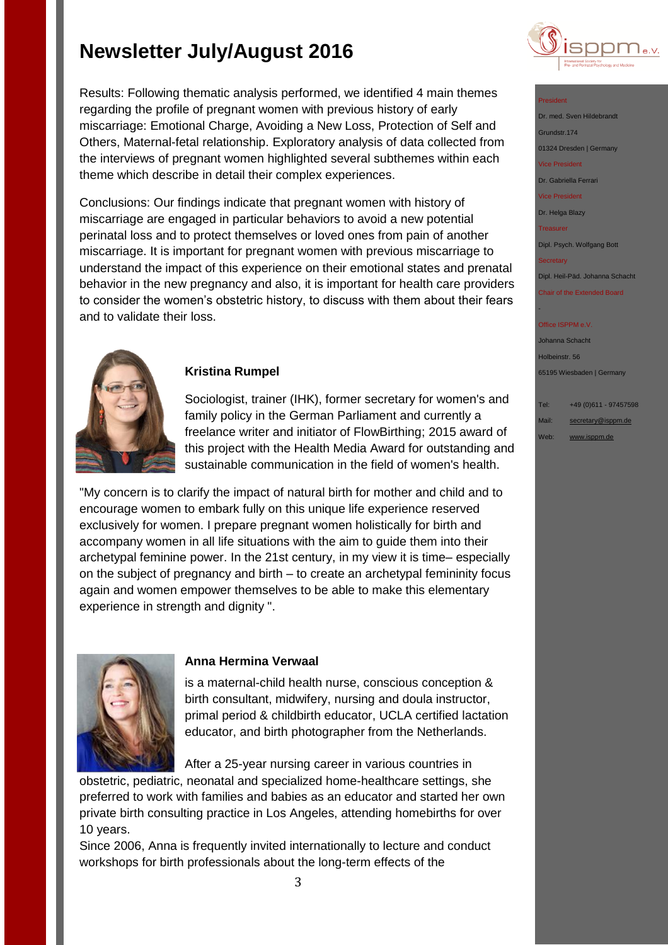Results: Following thematic analysis performed, we identified 4 main themes regarding the profile of pregnant women with previous history of early miscarriage: Emotional Charge, Avoiding a New Loss, Protection of Self and Others, Maternal-fetal relationship. Exploratory analysis of data collected from the interviews of pregnant women highlighted several subthemes within each theme which describe in detail their complex experiences.

Conclusions: Our findings indicate that pregnant women with history of miscarriage are engaged in particular behaviors to avoid a new potential perinatal loss and to protect themselves or loved ones from pain of another miscarriage. It is important for pregnant women with previous miscarriage to understand the impact of this experience on their emotional states and prenatal behavior in the new pregnancy and also, it is important for health care providers to consider the women's obstetric history, to discuss with them about their fears and to validate their loss.



## **Kristina Rumpel**

Sociologist, trainer (IHK), former secretary for women's and family policy in the German Parliament and currently a freelance writer and initiator of FlowBirthing; 2015 award of this project with the Health Media Award for outstanding and sustainable communication in the field of women's health.

"My concern is to clarify the impact of natural birth for mother and child and to encourage women to embark fully on this unique life experience reserved exclusively for women. I prepare pregnant women holistically for birth and accompany women in all life situations with the aim to guide them into their archetypal feminine power. In the 21st century, in my view it is time– especially on the subject of pregnancy and birth – to create an archetypal femininity focus again and women empower themselves to be able to make this elementary experience in strength and dignity ".



### **Anna Hermina Verwaal**

is a maternal-child health nurse, conscious conception & birth consultant, midwifery, nursing and doula instructor, primal period & childbirth educator, UCLA certified lactation educator, and birth photographer from the Netherlands.

After a 25-year nursing career in various countries in

obstetric, pediatric, neonatal and specialized home-healthcare settings, she preferred to work with families and babies as an educator and started her own private birth consulting practice in Los Angeles, attending homebirths for over 10 years.

Since 2006, Anna is frequently invited internationally to lecture and conduct workshops for birth professionals about the long-term effects of the



#### President

Dr. med. Sven Hildebrandt Grundstr.174 01324 Dresden | Germany

Vice President

Dr. Gabriella Ferrari

Vice President

Dr. Helga Blazy

**Treasurer** 

Dipl. Psych. Wolfgang Bott

**Secretary** 

-

Dipl. Heil-Päd. Johanna Schacht

Chair of the Extended Board

#### Office ISPPM e.V

Johanna Schacht Holbeinstr. 56 65195 Wiesbaden | Germany

Tel: +49 (0)611 - 97457598

Mail: [secretary@isppm.de](mailto:secretary@isppm.de)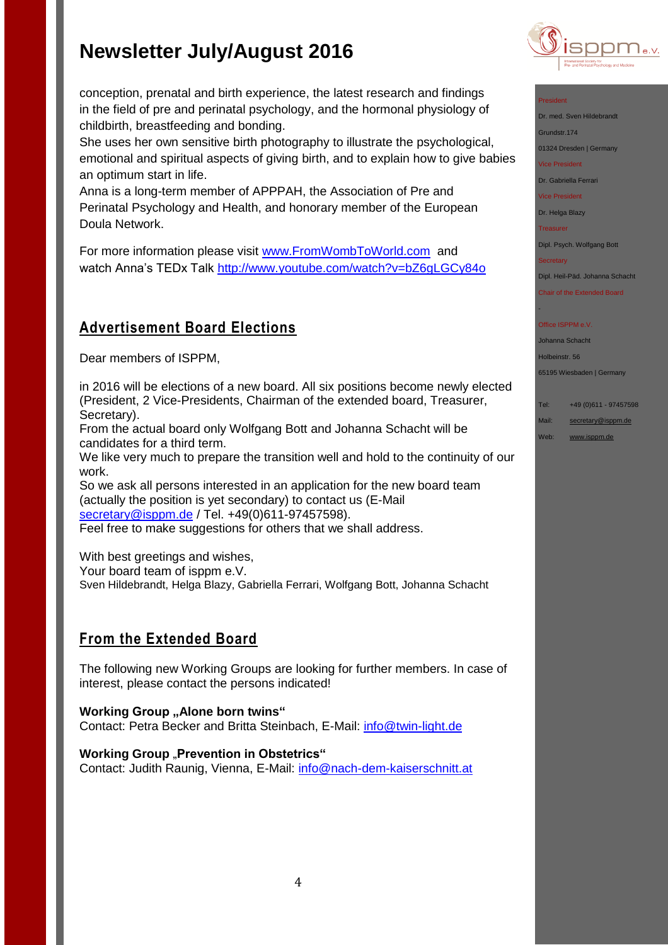childbirth, breastfeeding and bonding.

**Advertisement Board Elections**

an optimum start in life.

Dear members of ISPPM,

Doula Network.

Secretary).

conception, prenatal and birth experience, the latest research and findings in the field of pre and perinatal psychology, and the hormonal physiology of

She uses her own sensitive birth photography to illustrate the psychological, emotional and spiritual aspects of giving birth, and to explain how to give babies

Anna is a long-term member of APPPAH, the Association of Pre and Perinatal Psychology and Health, and honorary member of the European

For more information please visit [www.FromWombToWorld.com](http://www.fromwombtoworld.com/) and watch Anna's TEDx Talk<http://www.youtube.com/watch?v=bZ6gLGCy84o>



#### President

Dr. med. Sven Hildebrandt

Grundstr.174

01324 Dresden | Germany

Vice President

Dr. Gabriella Ferrari

Vice President

Dr. Helga Blazy

**Treasurer** 

Dipl. Psych. Wolfgang Bott

**Secretary** 

-

Dipl. Heil-Päd. Johanna Schacht

Chair of the Extended Board

#### Office ISPPM e.V

Johanna Schacht

Holbeinstr. 56

65195 Wiesbaden | Germany

- Tel: +49 (0)611 97457598
- Mail: [secretary@isppm.de](mailto:secretary@isppm.de)
- Web: [www.isppm.de](http://www.isppm.de/)
- From the actual board only Wolfgang Bott and Johanna Schacht will be candidates for a third term. We like very much to prepare the transition well and hold to the continuity of our work.

in 2016 will be elections of a new board. All six positions become newly elected (President, 2 Vice-Presidents, Chairman of the extended board, Treasurer,

So we ask all persons interested in an application for the new board team (actually the position is yet secondary) to contact us (E-Mail [secretary@isppm.de](mailto:secretary@isppm.de) / Tel. +49(0)611-97457598).

Feel free to make suggestions for others that we shall address.

With best greetings and wishes,

Your board team of isppm e.V.

Sven Hildebrandt, Helga Blazy, Gabriella Ferrari, Wolfgang Bott, Johanna Schacht

## **From the Extended Board**

The following new Working Groups are looking for further members. In case of interest, please contact the persons indicated!

**Working Group "Alone born twins"** Contact: Petra Becker and Britta Steinbach, E-Mail: [info@twin-light.de](mailto:info@twin-light.de)

**Working Group** "Prevention in Obstetrics" Contact: Judith Raunig, Vienna, E-Mail: [info@nach-dem-kaiserschnitt.at](mailto:info@nach-dem-kaiserschnitt.at)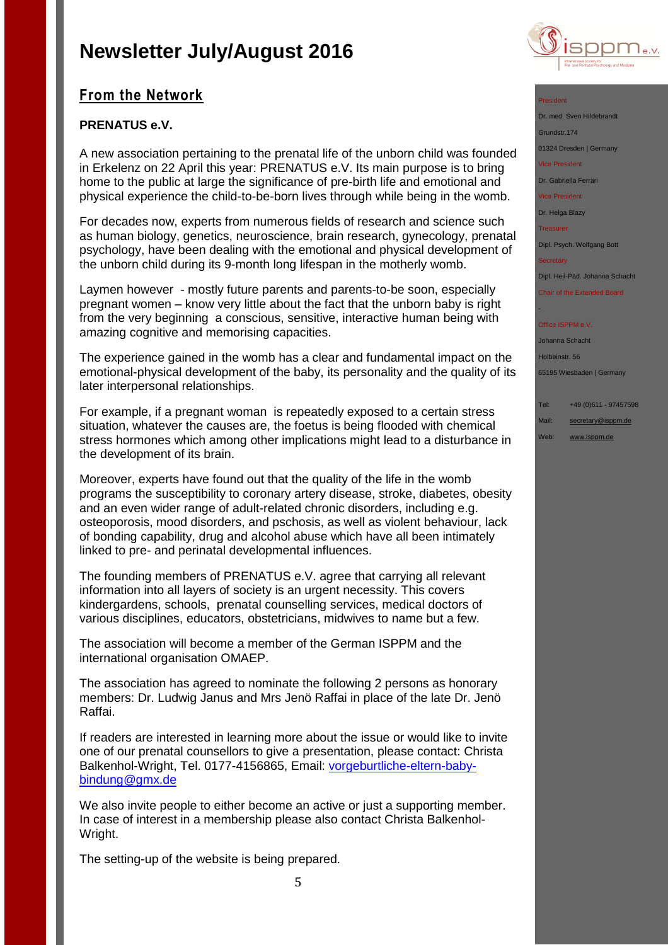## **From the Network**

## **PRENATUS e.V.**

A new association pertaining to the prenatal life of the unborn child was founded in Erkelenz on 22 April this year: PRENATUS e.V. Its main purpose is to bring home to the public at large the significance of pre-birth life and emotional and physical experience the child-to-be-born lives through while being in the womb.

For decades now, experts from numerous fields of research and science such as human biology, genetics, neuroscience, brain research, gynecology, prenatal psychology, have been dealing with the emotional and physical development of the unborn child during its 9-month long lifespan in the motherly womb.

Laymen however - mostly future parents and parents-to-be soon, especially pregnant women – know very little about the fact that the unborn baby is right from the very beginning a conscious, sensitive, interactive human being with amazing cognitive and memorising capacities.

The experience gained in the womb has a clear and fundamental impact on the emotional-physical development of the baby, its personality and the quality of its later interpersonal relationships.

For example, if a pregnant woman is repeatedly exposed to a certain stress situation, whatever the causes are, the foetus is being flooded with chemical stress hormones which among other implications might lead to a disturbance in the development of its brain.

Moreover, experts have found out that the quality of the life in the womb programs the susceptibility to coronary artery disease, stroke, diabetes, obesity and an even wider range of adult-related chronic disorders, including e.g. osteoporosis, mood disorders, and pschosis, as well as violent behaviour, lack of bonding capability, drug and alcohol abuse which have all been intimately linked to pre- and perinatal developmental influences.

The founding members of PRENATUS e.V. agree that carrying all relevant information into all layers of society is an urgent necessity. This covers kindergardens, schools, prenatal counselling services, medical doctors of various disciplines, educators, obstetricians, midwives to name but a few.

The association will become a member of the German ISPPM and the international organisation OMAEP.

The association has agreed to nominate the following 2 persons as honorary members: Dr. Ludwig Janus and Mrs Jenö Raffai in place of the late Dr. Jenö Raffai.

If readers are interested in learning more about the issue or would like to invite one of our prenatal counsellors to give a presentation, please contact: Christa Balkenhol-Wright, Tel. 0177-4156865, Email: [vorgeburtliche-eltern-baby](mailto:vorgeburtliche-eltern-baby-bindung@gmx.de)[bindung@gmx.de](mailto:vorgeburtliche-eltern-baby-bindung@gmx.de)

We also invite people to either become an active or just a supporting member. In case of interest in a membership please also contact Christa Balkenhol-Wright.

The setting-up of the website is being prepared.



#### President

Dr. med. Sven Hildebrandt Grundstr.174

01324 Dresden | Germany

Vice President

Dr. Gabriella Ferrari

Vice President

Dr. Helga Blazy

**Treasurer** 

Dipl. Psych. Wolfgang Bott

**Secretary** 

-

Dipl. Heil-Päd. Johanna Schacht

Chair of the Extended Board

#### Office ISPPM e.V

Johanna Schacht

Holbeinstr. 56

65195 Wiesbaden | Germany

- Tel: +49 (0)611 97457598
- Mail: [secretary@isppm.de](mailto:secretary@isppm.de)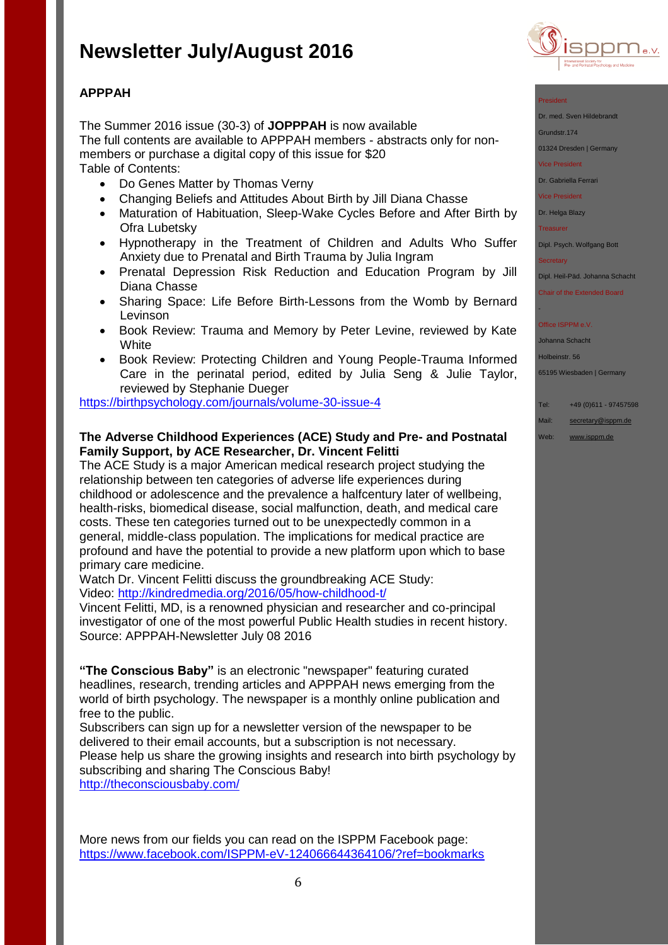

## **APPPAH**

The Summer 2016 issue (30-3) of **JOPPPAH** is now available The full contents are available to APPPAH members - abstracts only for nonmembers or purchase a digital copy of this issue for \$20 Table of Contents:

- Do Genes Matter by Thomas Verny
- Changing Beliefs and Attitudes About Birth by Jill Diana Chasse
- Maturation of Habituation, Sleep-Wake Cycles Before and After Birth by Ofra Lubetsky
- Hypnotherapy in the Treatment of Children and Adults Who Suffer Anxiety due to Prenatal and Birth Trauma by Julia Ingram
- Prenatal Depression Risk Reduction and Education Program by Jill Diana Chasse
- Sharing Space: Life Before Birth-Lessons from the Womb by Bernard **Levinson**
- Book Review: Trauma and Memory by Peter Levine, reviewed by Kate **White**
- Book Review: Protecting Children and Young People-Trauma Informed Care in the perinatal period, edited by Julia Seng & Julie Taylor, reviewed by Stephanie Dueger

<https://birthpsychology.com/journals/volume-30-issue-4>

### **The Adverse Childhood Experiences (ACE) Study and Pre- and Postnatal Family Support, by ACE Researcher, Dr. Vincent Felitti**

The ACE Study is a major American medical research project studying the relationship between ten categories of adverse life experiences during childhood or adolescence and the prevalence a halfcentury later of wellbeing, health-risks, biomedical disease, social malfunction, death, and medical care costs. These ten categories turned out to be unexpectedly common in a general, middle-class population. The implications for medical practice are profound and have the potential to provide a new platform upon which to base primary care medicine.

Watch Dr. Vincent Felitti discuss the groundbreaking ACE Study: Video:<http://kindredmedia.org/2016/05/how-childhood-t/>

Vincent Felitti, MD, is a renowned physician and researcher and co-principal investigator of one of the most powerful Public Health studies in recent history. Source: APPPAH-Newsletter July 08 2016

**"The Conscious Baby"** is an electronic "newspaper" featuring curated headlines, research, trending articles and APPPAH news emerging from the world of birth psychology. The newspaper is a monthly online publication and free to the public.

Subscribers can sign up for a newsletter version of the newspaper to be delivered to their email accounts, but a subscription is not necessary. Please help us share the growing insights and research into birth psychology by subscribing and sharing The Conscious Baby! <http://theconsciousbaby.com/>

More news from our fields you can read on the ISPPM Facebook page: <https://www.facebook.com/ISPPM-eV-124066644364106/?ref=bookmarks>



Dr. med. Sven Hildebrand

Grundstr.174

01324 Dresden | Germany

Vice President

Dr. Gabriella Ferrari

Vice President

Dr. Helga Blazy

**Treasurer** 

Dipl. Psych. Wolfgang Bott

**Secretary** 

-

Dipl. Heil-Päd. Johanna Schacht

Chair of the Extended Board

#### Office ISPPM e.V

Johanna Schacht

Holbeinstr. 56

65195 Wiesbaden | Germany

- Tel: +49 (0)611 97457598
- Mail: [secretary@isppm.de](mailto:secretary@isppm.de)
- Web: [www.isppm.de](http://www.isppm.de/)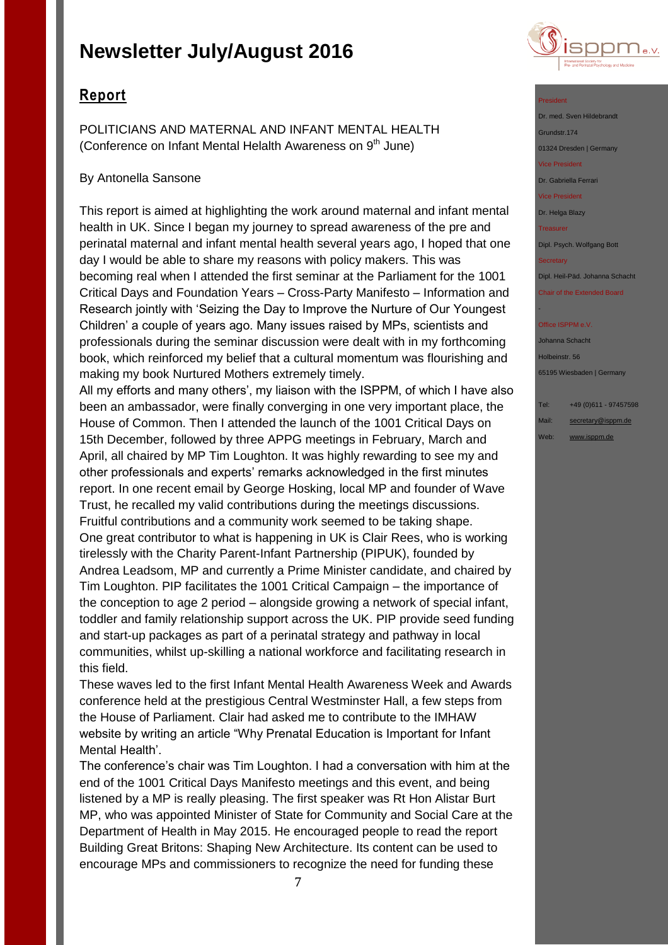## **Report**

POLITICIANS AND MATERNAL AND INFANT MENTAL HEALTH (Conference on Infant Mental Helalth Awareness on  $9<sup>th</sup>$  June)

### By Antonella Sansone

This report is aimed at highlighting the work around maternal and infant mental health in UK. Since I began my journey to spread awareness of the pre and perinatal maternal and infant mental health several years ago, I hoped that one day I would be able to share my reasons with policy makers. This was becoming real when I attended the first seminar at the Parliament for the 1001 Critical Days and Foundation Years – Cross-Party Manifesto – Information and Research jointly with 'Seizing the Day to Improve the Nurture of Our Youngest Children' a couple of years ago. Many issues raised by MPs, scientists and professionals during the seminar discussion were dealt with in my forthcoming book, which reinforced my belief that a cultural momentum was flourishing and making my book Nurtured Mothers extremely timely.

All my efforts and many others', my liaison with the ISPPM, of which I have also been an ambassador, were finally converging in one very important place, the House of Common. Then I attended the launch of the 1001 Critical Days on 15th December, followed by three APPG meetings in February, March and April, all chaired by MP Tim Loughton. It was highly rewarding to see my and other professionals and experts' remarks acknowledged in the first minutes report. In one recent email by George Hosking, local MP and founder of Wave Trust, he recalled my valid contributions during the meetings discussions. Fruitful contributions and a community work seemed to be taking shape. One great contributor to what is happening in UK is Clair Rees, who is working tirelessly with the Charity Parent-Infant Partnership (PIPUK), founded by Andrea Leadsom, MP and currently a Prime Minister candidate, and chaired by Tim Loughton. PIP facilitates the 1001 Critical Campaign – the importance of the conception to age 2 period – alongside growing a network of special infant, toddler and family relationship support across the UK. PIP provide seed funding and start-up packages as part of a perinatal strategy and pathway in local communities, whilst up-skilling a national workforce and facilitating research in this field.

These waves led to the first Infant Mental Health Awareness Week and Awards conference held at the prestigious Central Westminster Hall, a few steps from the House of Parliament. Clair had asked me to contribute to the IMHAW website by writing an article "Why Prenatal Education is Important for Infant Mental Health'.

The conference's chair was Tim Loughton. I had a conversation with him at the end of the 1001 Critical Days Manifesto meetings and this event, and being listened by a MP is really pleasing. The first speaker was Rt Hon Alistar Burt MP, who was appointed Minister of State for Community and Social Care at the Department of Health in May 2015. He encouraged people to read the report Building Great Britons: Shaping New Architecture. Its content can be used to encourage MPs and commissioners to recognize the need for funding these



#### President

Dr. med. Sven Hildebrandt Grundstr.174

01324 Dresden | Germany

Vice President

Dr. Gabriella Ferrari

Vice President

Dr. Helga Blazy

**Treasurer** 

Dipl. Psych. Wolfgang Bott

**Secretary** 

-

Dipl. Heil-Päd. Johanna Schacht

Chair of the Extended Board

#### Office ISPPM e.V

Johanna Schacht Holbeinstr. 56 65195 Wiesbaden | Germany

- Tel: +49 (0)611 97457598
- Mail: [secretary@isppm.de](mailto:secretary@isppm.de)
- Web: [www.isppm.de](http://www.isppm.de/)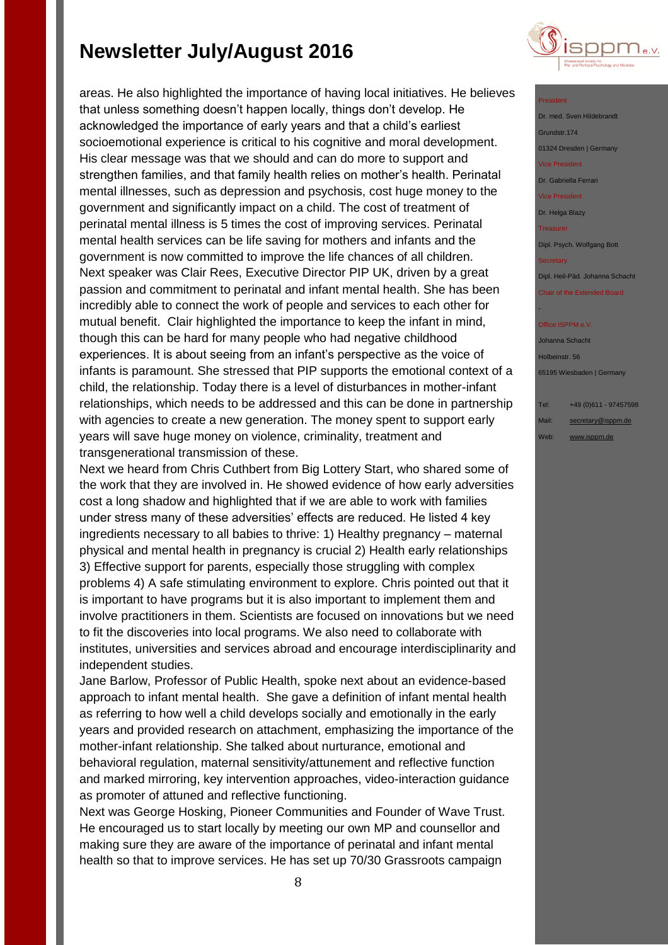areas. He also highlighted the importance of having local initiatives. He believes that unless something doesn't happen locally, things don't develop. He acknowledged the importance of early years and that a child's earliest socioemotional experience is critical to his cognitive and moral development. His clear message was that we should and can do more to support and strengthen families, and that family health relies on mother's health. Perinatal mental illnesses, such as depression and psychosis, cost huge money to the government and significantly impact on a child. The cost of treatment of perinatal mental illness is 5 times the cost of improving services. Perinatal mental health services can be life saving for mothers and infants and the government is now committed to improve the life chances of all children. Next speaker was Clair Rees, Executive Director PIP UK, driven by a great passion and commitment to perinatal and infant mental health. She has been incredibly able to connect the work of people and services to each other for mutual benefit. Clair highlighted the importance to keep the infant in mind, though this can be hard for many people who had negative childhood experiences. It is about seeing from an infant's perspective as the voice of infants is paramount. She stressed that PIP supports the emotional context of a child, the relationship. Today there is a level of disturbances in mother-infant relationships, which needs to be addressed and this can be done in partnership with agencies to create a new generation. The money spent to support early years will save huge money on violence, criminality, treatment and transgenerational transmission of these.

Next we heard from Chris Cuthbert from Big Lottery Start, who shared some of the work that they are involved in. He showed evidence of how early adversities cost a long shadow and highlighted that if we are able to work with families under stress many of these adversities' effects are reduced. He listed 4 key ingredients necessary to all babies to thrive: 1) Healthy pregnancy – maternal physical and mental health in pregnancy is crucial 2) Health early relationships 3) Effective support for parents, especially those struggling with complex problems 4) A safe stimulating environment to explore. Chris pointed out that it is important to have programs but it is also important to implement them and involve practitioners in them. Scientists are focused on innovations but we need to fit the discoveries into local programs. We also need to collaborate with institutes, universities and services abroad and encourage interdisciplinarity and independent studies.

Jane Barlow, Professor of Public Health, spoke next about an evidence-based approach to infant mental health. She gave a definition of infant mental health as referring to how well a child develops socially and emotionally in the early years and provided research on attachment, emphasizing the importance of the mother-infant relationship. She talked about nurturance, emotional and behavioral regulation, maternal sensitivity/attunement and reflective function and marked mirroring, key intervention approaches, video-interaction guidance as promoter of attuned and reflective functioning.

Next was George Hosking, Pioneer Communities and Founder of Wave Trust. He encouraged us to start locally by meeting our own MP and counsellor and making sure they are aware of the importance of perinatal and infant mental health so that to improve services. He has set up 70/30 Grassroots campaign



#### President

Dr. med. Sven Hildebrandt Grundstr.174 01324 Dresden | Germany Vice President

Dr. Gabriella Ferrari

Vice President

Dr. Helga Blazy

**Treasurer** 

Dipl. Psych. Wolfgang Bott

**Secretary** 

-

Dipl. Heil-Päd. Johanna Schacht

Chair of the Extended Board

#### Office ISPPM e.V

Johanna Schacht Holbeinstr. 56 65195 Wiesbaden | Germany

Tel: +49 (0)611 - 97457598

Mail: [secretary@isppm.de](mailto:secretary@isppm.de)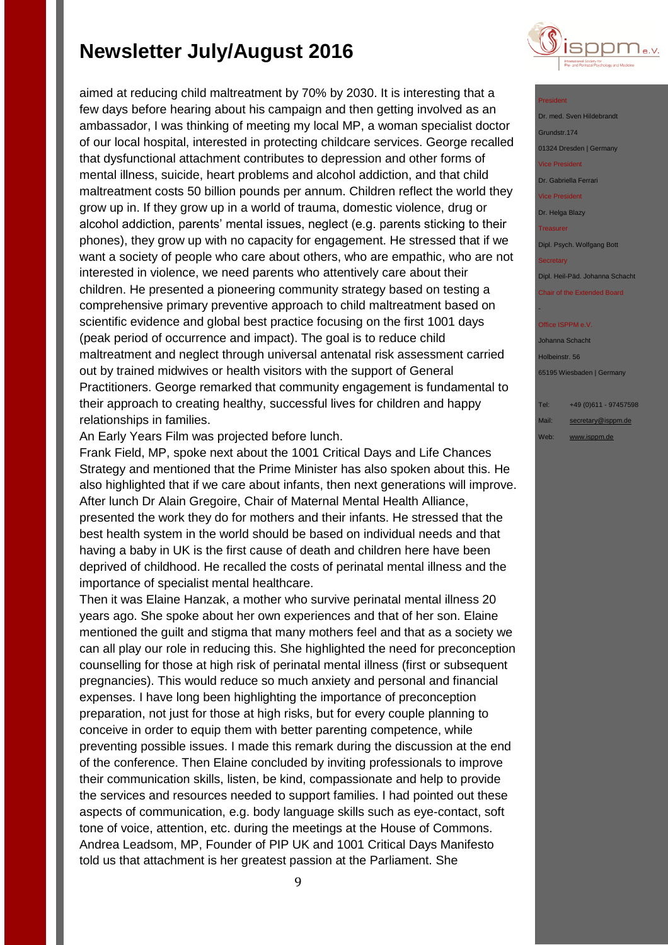aimed at reducing child maltreatment by 70% by 2030. It is interesting that a few days before hearing about his campaign and then getting involved as an ambassador, I was thinking of meeting my local MP, a woman specialist doctor of our local hospital, interested in protecting childcare services. George recalled that dysfunctional attachment contributes to depression and other forms of mental illness, suicide, heart problems and alcohol addiction, and that child maltreatment costs 50 billion pounds per annum. Children reflect the world they grow up in. If they grow up in a world of trauma, domestic violence, drug or alcohol addiction, parents' mental issues, neglect (e.g. parents sticking to their phones), they grow up with no capacity for engagement. He stressed that if we want a society of people who care about others, who are empathic, who are not interested in violence, we need parents who attentively care about their children. He presented a pioneering community strategy based on testing a comprehensive primary preventive approach to child maltreatment based on scientific evidence and global best practice focusing on the first 1001 days (peak period of occurrence and impact). The goal is to reduce child maltreatment and neglect through universal antenatal risk assessment carried out by trained midwives or health visitors with the support of General Practitioners. George remarked that community engagement is fundamental to their approach to creating healthy, successful lives for children and happy relationships in families.

An Early Years Film was projected before lunch.

Frank Field, MP, spoke next about the 1001 Critical Days and Life Chances Strategy and mentioned that the Prime Minister has also spoken about this. He also highlighted that if we care about infants, then next generations will improve. After lunch Dr Alain Gregoire, Chair of Maternal Mental Health Alliance, presented the work they do for mothers and their infants. He stressed that the best health system in the world should be based on individual needs and that having a baby in UK is the first cause of death and children here have been deprived of childhood. He recalled the costs of perinatal mental illness and the importance of specialist mental healthcare.

Then it was Elaine Hanzak, a mother who survive perinatal mental illness 20 years ago. She spoke about her own experiences and that of her son. Elaine mentioned the guilt and stigma that many mothers feel and that as a society we can all play our role in reducing this. She highlighted the need for preconception counselling for those at high risk of perinatal mental illness (first or subsequent pregnancies). This would reduce so much anxiety and personal and financial expenses. I have long been highlighting the importance of preconception preparation, not just for those at high risks, but for every couple planning to conceive in order to equip them with better parenting competence, while preventing possible issues. I made this remark during the discussion at the end of the conference. Then Elaine concluded by inviting professionals to improve their communication skills, listen, be kind, compassionate and help to provide the services and resources needed to support families. I had pointed out these aspects of communication, e.g. body language skills such as eye-contact, soft tone of voice, attention, etc. during the meetings at the House of Commons. Andrea Leadsom, MP, Founder of PIP UK and 1001 Critical Days Manifesto told us that attachment is her greatest passion at the Parliament. She



#### President

Dr. med. Sven Hildebrandt Grundstr.174 01324 Dresden | Germany Vice President Dr. Gabriella Ferrari Vice President Dr. Helga Blazy **Treasurer** 

Dipl. Psych. Wolfgang Bott

**Secretary** 

-

Dipl. Heil-Päd. Johanna Schacht

Chair of the Extended Board

#### Office ISPPM e.V

Johanna Schacht Holbeinstr. 56 65195 Wiesbaden | Germany

Tel: +49 (0)611 - 97457598

Mail: [secretary@isppm.de](mailto:secretary@isppm.de)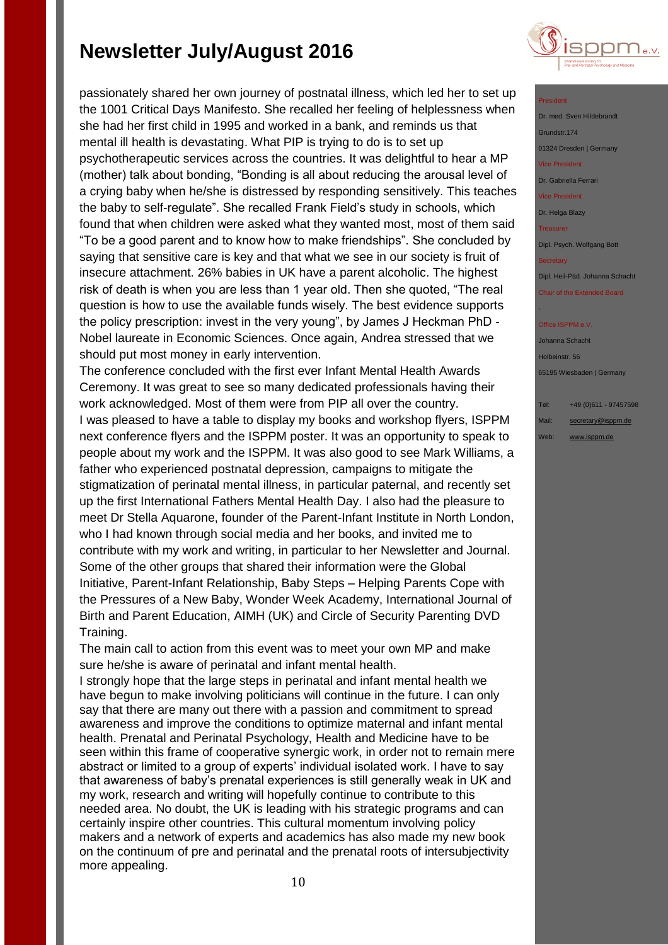

The conference concluded with the first ever Infant Mental Health Awards Ceremony. It was great to see so many dedicated professionals having their work acknowledged. Most of them were from PIP all over the country. I was pleased to have a table to display my books and workshop flyers, ISPPM next conference flyers and the ISPPM poster. It was an opportunity to speak to people about my work and the ISPPM. It was also good to see Mark Williams, a father who experienced postnatal depression, campaigns to mitigate the stigmatization of perinatal mental illness, in particular paternal, and recently set up the first International Fathers Mental Health Day. I also had the pleasure to meet Dr Stella Aquarone, founder of the Parent-Infant Institute in North London, who I had known through social media and her books, and invited me to contribute with my work and writing, in particular to her Newsletter and Journal. Some of the other groups that shared their information were the Global Initiative, Parent-Infant Relationship, Baby Steps – Helping Parents Cope with the Pressures of a New Baby, Wonder Week Academy, International Journal of Birth and Parent Education, AIMH (UK) and Circle of Security Parenting DVD Training.

The main call to action from this event was to meet your own MP and make sure he/she is aware of perinatal and infant mental health.

I strongly hope that the large steps in perinatal and infant mental health we have begun to make involving politicians will continue in the future. I can only say that there are many out there with a passion and commitment to spread awareness and improve the conditions to optimize maternal and infant mental health. Prenatal and Perinatal Psychology, Health and Medicine have to be seen within this frame of cooperative synergic work, in order not to remain mere abstract or limited to a group of experts' individual isolated work. I have to say that awareness of baby's prenatal experiences is still generally weak in UK and my work, research and writing will hopefully continue to contribute to this needed area. No doubt, the UK is leading with his strategic programs and can certainly inspire other countries. This cultural momentum involving policy makers and a network of experts and academics has also made my new book on the continuum of pre and perinatal and the prenatal roots of intersubjectivity more appealing.



#### President

Dr. med. Sven Hildebrand Grundstr.174 01324 Dresden | Germany Vice President Dr. Gabriella Ferrari Vice President Dr. Helga Blazy **Treasurer** Dipl. Psych. Wolfgang Bott **Secretary** Dipl. Heil-Päd. Johanna Schacht Chair of the Extended Board -

#### Office ISPPM e.V

Johanna Schacht Holbeinstr. 56 65195 Wiesbaden | Germany

- Tel: +49 (0)611 97457598
- Mail: [secretary@isppm.de](mailto:secretary@isppm.de)
- Web: [www.isppm.de](http://www.isppm.de/)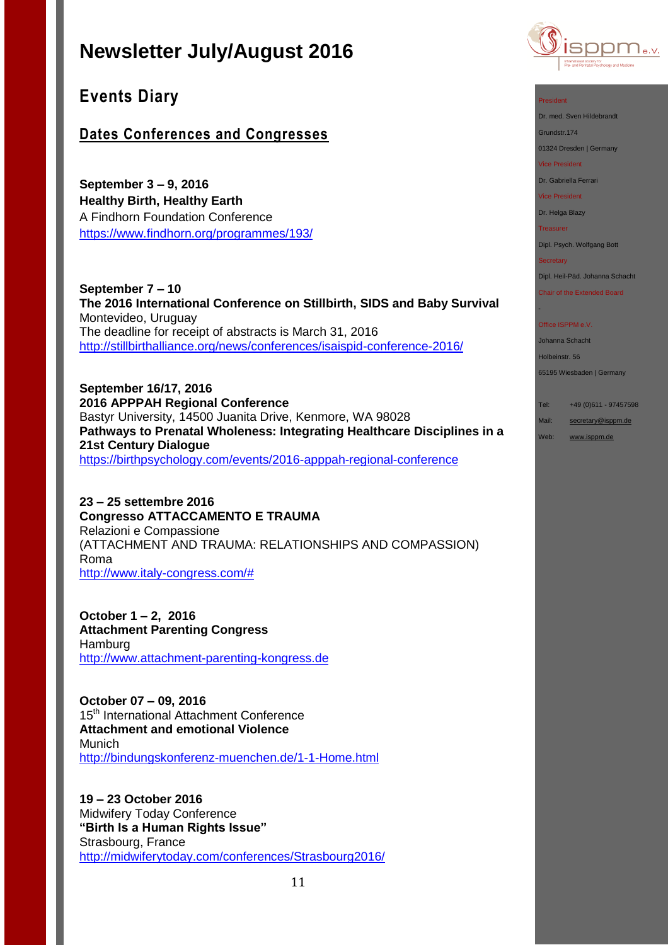

**Events Diary**

## **Dates Conferences and Congresses**

**September 3 – 9, 2016 Healthy Birth, Healthy Earth** A Findhorn Foundation Conference <https://www.findhorn.org/programmes/193/>

**September 7 – 10 The 2016 International Conference on Stillbirth, SIDS and Baby Survival** Montevideo, Uruguay The deadline for receipt of abstracts is March 31, 2016 <http://stillbirthalliance.org/news/conferences/isaispid-conference-2016/>

**September 16/17, 2016 2016 APPPAH Regional Conference** Bastyr University, 14500 Juanita Drive, Kenmore, WA 98028 **Pathways to Prenatal Wholeness: Integrating Healthcare Disciplines in a 21st Century Dialogue** <https://birthpsychology.com/events/2016-apppah-regional-conference>

**23 – 25 settembre 2016 Congresso ATTACCAMENTO E TRAUMA** Relazioni e Compassione (ATTACHMENT AND TRAUMA: RELATIONSHIPS AND COMPASSION) Roma [http://www.italy-congress.com/#](http://www.italy-congress.com/%23)

**October 1 – 2, 2016 Attachment Parenting Congress** Hamburg [http://www.attachment-parenting-kongress.de](http://www.attachment-parenting-kongress.de/)

**October 07 – 09, 2016**  15<sup>th</sup> International Attachment Conference **Attachment and emotional Violence** Munich <http://bindungskonferenz-muenchen.de/1-1-Home.html>

**19 – 23 October 2016** Midwifery Today Conference **"Birth Is a Human Rights Issue"** Strasbourg, France <http://midwiferytoday.com/conferences/Strasbourg2016/>



President

Dr. med. Sven Hildebrandt

Grundstr.174 01324 Dresden | Germany

Vice President

Dr. Gabriella Ferrari

Vice President

Dr. Helga Blazy

**Treasurer** 

Dipl. Psych. Wolfgang Bott

**Secretary** 

-

Dipl. Heil-Päd. Johanna Schacht

Chair of the Extended Board

#### Office ISPPM e.V.

Johanna Schacht

Holbeinstr. 56

65195 Wiesbaden | Germany

Tel: +49 (0)611 - 97457598

Mail: [secretary@isppm.de](mailto:secretary@isppm.de)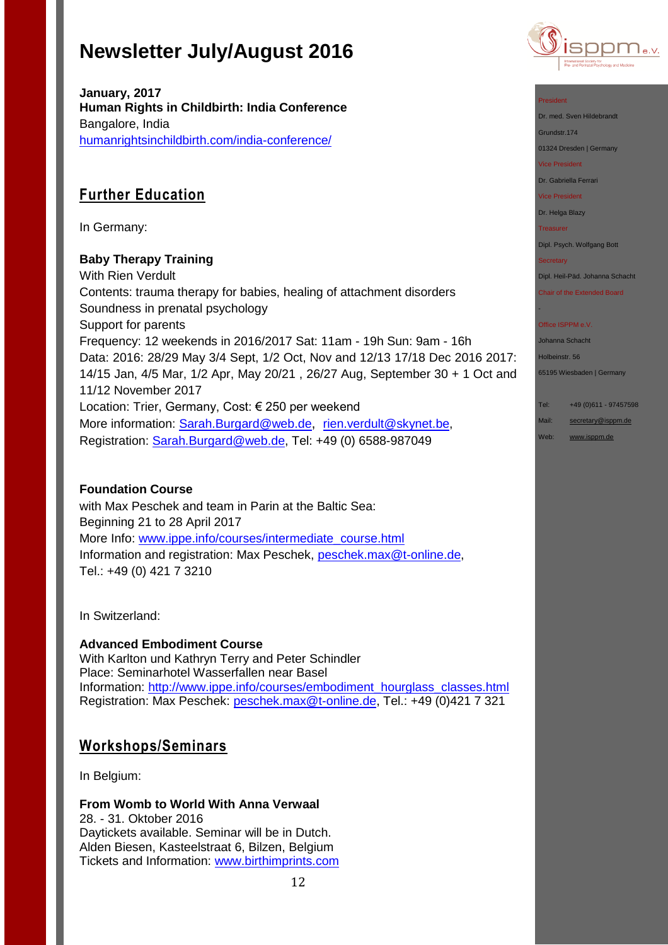

**January, 2017 Human Rights in Childbirth: India Conference** Bangalore, India [humanrightsinchildbirth.com/india-conference/](http://humanrightsinchildbirth.com/india-conference/)

# **Further Education**

In Germany:

## **Baby Therapy Training**

With Rien Verdult Contents: trauma therapy for babies, healing of attachment disorders Soundness in prenatal psychology Support for parents Frequency: 12 weekends in 2016/2017 Sat: 11am - 19h Sun: 9am - 16h Data: 2016: 28/29 May 3/4 Sept, 1/2 Oct, Nov and 12/13 17/18 Dec 2016 2017: 14/15 Jan, 4/5 Mar, 1/2 Apr, May 20/21 , 26/27 Aug, September 30 + 1 Oct and 11/12 November 2017 Location: Trier, Germany, Cost: € 250 per weekend More information: [Sarah.Burgard@web.de](mailto:Sarah.Burgard@web.de), [rien.verdult@skynet.be,](mailto:rien.verdult@skynet.be) Registration: [Sarah.Burgard@web.de,](mailto:Sarah.Burgard@web.de) Tel: +49 (0) 6588-987049

## **Foundation Course**

with Max Peschek and team in Parin at the Baltic Sea: Beginning 21 to 28 April 2017 More Info: [www.ippe.info/courses/intermediate\\_course.html](http://www.ippe.info/courses/intermediate_course.html) Information and registration: Max Peschek, [peschek.max@t-online.de,](mailto:peschek.max@t-online.de) Tel.: +49 (0) 421 7 3210

In Switzerland:

**Advanced Embodiment Course** With Karlton und Kathryn Terry and Peter Schindler Place: Seminarhotel Wasserfallen near Basel Information: [http://www.ippe.info/courses/embodiment\\_hourglass\\_classes.html](http://www.ippe.info/courses/embodiment_hourglass_classes.html)  Registration: Max Peschek: [peschek.max@t-online.de,](mailto:peschek.max@t-online.de) Tel.: +49 (0)421 7 321

## **Workshops/Seminars**

In Belgium:

**From Womb to World With Anna Verwaal** 28. - 31. Oktober 2016 Daytickets available. Seminar will be in Dutch. Alden Biesen, Kasteelstraat 6, Bilzen, Belgium Tickets and Information: [www.birthimprints.com](http://www.birthimprints.com/)

12



### President

Dr. med. Sven Hildebrandt Grundstr.174

01324 Dresden | Germany

Vice President

Dr. Gabriella Ferrari

Vice President

Dr. Helga Blazy

**Treasurer** 

Dipl. Psych. Wolfgang Bott

**Secretary** 

-

Dipl. Heil-Päd. Johanna Schacht

Chair of the Extended Board

#### Office ISPPM e.V.

Johanna Schacht

Holbeinstr. 56

65195 Wiesbaden | Germany

Tel: +49 (0)611 - 97457598

Mail: [secretary@isppm.de](mailto:secretary@isppm.de)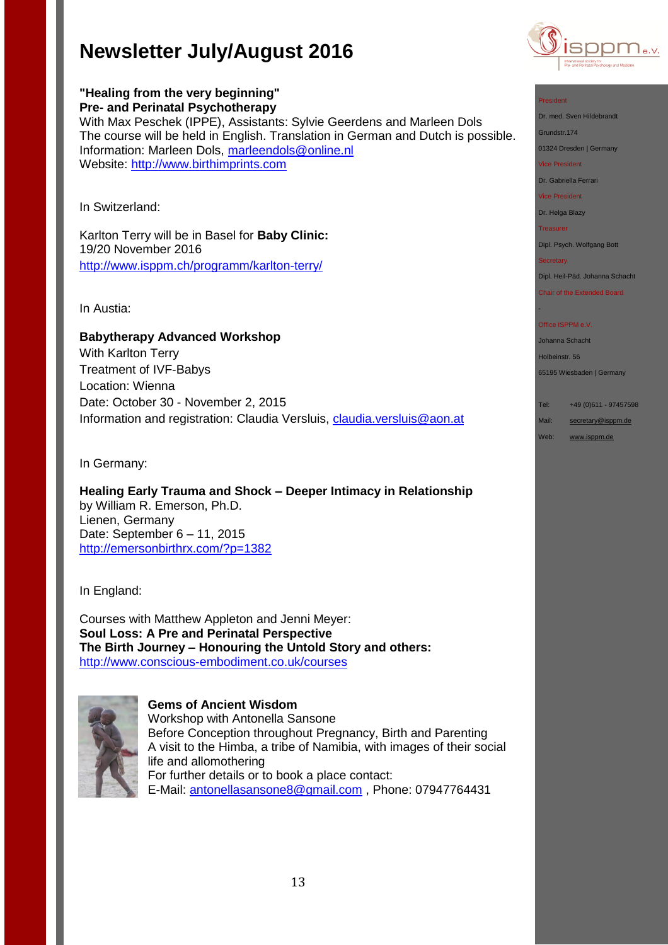Information: Marleen Dols, [marleendols@online.nl](mailto:marleendols@online.nl)

Karlton Terry will be in Basel for **Baby Clinic:**

<http://www.isppm.ch/programm/karlton-terry/>

**Babytherapy Advanced Workshop**

Date: October 30 - November 2, 2015

With Max Peschek (IPPE), Assistants: Sylvie Geerdens and Marleen Dols

The course will be held in English. Translation in German and Dutch is possible.

**"Healing from the very beginning" Pre- and Perinatal Psychotherapy**

Website: [http://www.birthimprints.com](http://www.birthimprints.com/)



#### President

Dr. med. Sven Hildebrandt Grundstr.174

01324 Dresden | Germany

Vice President

Dr. Gabriella Ferrari

Vice President

Dr. Helga Blazy

**Treasurer** 

Dipl. Psych. Wolfgang Bott

**Secretary** 

-

Dipl. Heil-Päd. Johanna Schacht

Chair of the Extended Board

#### Office ISPPM e.V

Johanna Schacht

Holbeinstr. 56

65195 Wiesbaden | Germany

Tel: +49 (0)611 - 97457598

Mail: [secretary@isppm.de](mailto:secretary@isppm.de)

Web: [www.isppm.de](http://www.isppm.de/)

In Germany:

In Switzerland:

In Austia:

19/20 November 2016

With Karlton Terry Treatment of IVF-Babys

Location: Wienna

**Healing Early Trauma and Shock – Deeper Intimacy in Relationship** by William R. Emerson, Ph.D. Lienen, Germany Date: September 6 – 11, 2015 <http://emersonbirthrx.com/?p=1382>

Information and registration: Claudia Versluis, [claudia.versluis@aon.at](mailto:claudia.versluis@aon.at)

In England:

Courses with Matthew Appleton and Jenni Meyer: **Soul Loss: A Pre and Perinatal Perspective The Birth Journey – Honouring the Untold Story and others:** <http://www.conscious-embodiment.co.uk/courses>



**Gems of Ancient Wisdom**

Workshop with Antonella Sansone Before Conception throughout Pregnancy, Birth and Parenting A visit to the Himba, a tribe of Namibia, with images of their social life and allomothering For further details or to book a place contact: E-Mail: [antonellasansone8@gmail.com](mailto:antonellasansone8@gmail.com) , Phone: 07947764431